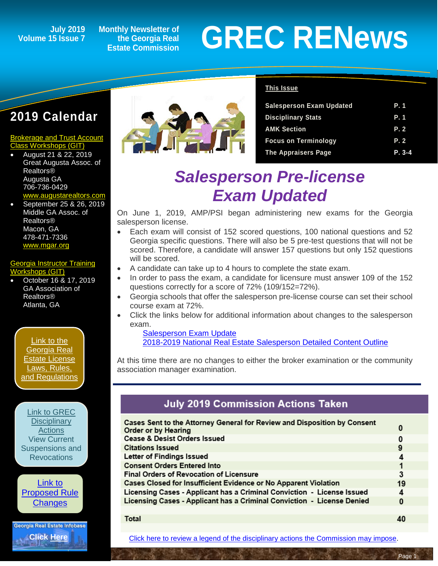### **Volume 15 Issue 7**

**Monthly Newsletter of the Georgia Real Estate Commission**

# **GREC RENEWS**<br>
I5 Issue 7 the Georgia Real GREC RENEWS

#### **2019 Calendar**

#### [Brokerage and Trust Account](http://www.grec-git.com/Instructor-Training/Current-GIT-Class-Sched)  [Class Workshops \(GIT\)](http://www.grec-git.com/Instructor-Training/Current-GIT-Class-Sched)

- August 21 & 22, 2019 Great Augusta Assoc. of Realtors® Augusta GA 706-736-0429 v.augustarealtors.com
- September 25 & 26, 2019 Middle GA Assoc. of Realtors® Macon, GA 478-471-7336 [www.mgar.org](http://www.mgar.org/)

#### [Georgia Instructor Training](http://www.grec-git.com/Instructor-Training/Current-GIT-Class-Sched)  rkshops (GIT)

• October 16 & 17, 2019 GA Association of Realtors® Atlanta, GA

[Link to the](http://www.grec.state.ga.us/about/relaw.html)  [Georgia Real](http://www.grec.state.ga.us/about/relaw.html)  [Estate License](http://www.grec.state.ga.us/about/relaw.html)  [Laws, Rules,](http://www.grec.state.ga.us/about/relaw.html)  [and Regulations](http://www.grec.state.ga.us/about/relaw.html)

#### [Link to GREC](http://www.grec.state.ga.us/about/resanctions.html)

**Disciplinary [Actions](http://www.grec.state.ga.us/about/resanctions.html)** View Current [Suspensions and](http://www.grec.state.ga.us/about/resanctions.html)  **Revocations** 

[Link to](http://www.grec.state.ga.us/about/reproposed.html)  [Proposed Rule](http://www.grec.state.ga.us/about/reproposed.html)  **[Changes](http://www.grec.state.ga.us/about/reproposed.html)** 





#### **This Issue**

| <b>Salesperson Exam Updated</b> | P. 1       |
|---------------------------------|------------|
| <b>Disciplinary Stats</b>       | <b>P.1</b> |
| <b>AMK Section</b>              | P.2        |
| <b>Focus on Terminology</b>     | P. 2       |
| The Appraisers Page             | $P. 3-4$   |

### *Salesperson Pre-license Exam Updated*

On June 1, 2019, AMP/PSI began administering new exams for the Georgia salesperson license.

- Each exam will consist of 152 scored questions, 100 national questions and 52 Georgia specific questions. There will also be 5 pre-test questions that will not be scored. Therefore, a candidate will answer 157 questions but only 152 questions will be scored.
- A candidate can take up to 4 hours to complete the state exam.
- In order to pass the exam, a candidate for licensure must answer 109 of the 152 questions correctly for a score of 72% (109/152=72%).
- Georgia schools that offer the salesperson pre-license course can set their school course exam at 72%.
- Click the links below for additional information about changes to the salesperson exam.

[Salesperson Exam Update](http://r20.rs6.net/tn.jsp?f=001XkBwzXrUKDZ4jhtq3ZDm-srnUtp1OX_aAMk9UHkRfJGx7A8QXUDJNAqOOgLF-WTOVxYzuyY-WwTJMvS8hGlk9Wu7Chr4OMX_Mhosn48hkDTIbuhHHkDY_K13jY-0O2ZUtqXE6vX9VIdwsiOWY_eTnj7M8ghc13kTCrUMtv-NRrv1wmvUpo_2vW6nQGeqA6k8P-LVhbU3VvDKnQvvzkK4MWQnGmIXAg3KPLzt0-2sYfivw-_nuklD-Uha3K0XM2xV&c=bpfkHYHSxilZr30Q2vozypveVUyLMKwhOIGYokzcgp6aUWugjv5H5w==&ch=R4Q19StUm_rw8K1MqA_U6mxemJE94yzrcg3m-CwfCWNlWO91_3g8IA==) [2018-2019 National Real Estate Salesperson Detailed Content Outline](http://r20.rs6.net/tn.jsp?f=001XkBwzXrUKDZ4jhtq3ZDm-srnUtp1OX_aAMk9UHkRfJGx7A8QXUDJNAqOOgLF-WTOkwRgUxtI9i7-AwgH8s60qSw2cTY9qV7zj6Z5260aB-KJSr0qfzuMe0S5vqROhmXSIDCZUW_O5kLlmBcADZ3U2y4Nf7cmyy-WxtQyQGTwAMNQDV4u9bFOISSQ2Oa7RIvFZxoBWWfFZVCDgj4KX_pVvdShfobV0fF5344W4lCsuXdtoH3cANyoZmO5Y6v-9bkF&c=bpfkHYHSxilZr30Q2vozypveVUyLMKwhOIGYokzcgp6aUWugjv5H5w==&ch=R4Q19StUm_rw8K1MqA_U6mxemJE94yzrcg3m-CwfCWNlWO91_3g8IA==)

At this time there are no changes to either the broker examination or the community association manager examination.

#### **July 2019 Commission Actions Taken**

| Cases Sent to the Attorney General for Review and Disposition by Consent<br>Order or by Hearing | 0  |  |
|-------------------------------------------------------------------------------------------------|----|--|
| <b>Cease &amp; Desist Orders Issued</b>                                                         | 0  |  |
| <b>Citations Issued</b>                                                                         | 9  |  |
| Letter of Findings Issued                                                                       | 4  |  |
| <b>Consent Orders Entered Into</b>                                                              |    |  |
| <b>Final Orders of Revocation of Licensure</b>                                                  | 3  |  |
| Cases Closed for Insufficient Evidence or No Apparent Violation                                 | 19 |  |
| Licensing Cases - Applicant has a Criminal Conviction - License Issued                          | 4  |  |
| Licensing Cases - Applicant has a Criminal Conviction - License Denied                          | 0  |  |
|                                                                                                 |    |  |

**Total** 

40

Page

[Click here to review a legend of the disciplinary actions the Commission may impose.](https://www.jmre.com/grec/GRECDisciplinaryTools.pdf)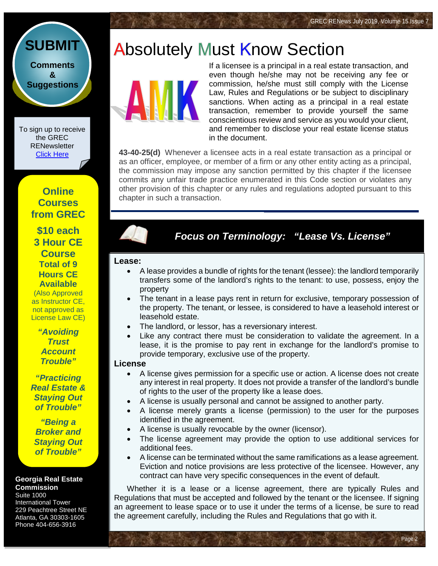Page 2

## **Absolutely Must Know Section**



If a licensee is a principal in a real estate transaction, and even though he/she may not be receiving any fee or commission, he/she must still comply with the License Law, Rules and Regulations or be subject to disciplinary sanctions. When acting as a principal in a real estate transaction, remember to provide yourself the same conscientious review and service as you would your client, and remember to disclose your real estate license status in the document.

**43-40-25(d)** Whenever a licensee acts in a real estate transaction as a principal or as an officer, employee, or member of a firm or any other entity acting as a principal, the commission may impose any sanction permitted by this chapter if the licensee commits any unfair trade practice enumerated in this Code section or violates any other provision of this chapter or any rules and regulations adopted pursuant to this chapter in such a transaction.

#### *Focus on Terminology: "Lease Vs. License"*

#### **Lease:**

- A lease provides a bundle of rights for the tenant (lessee): the landlord temporarily transfers some of the landlord's rights to the tenant: to use, possess, enjoy the property
- The tenant in a lease pays rent in return for exclusive, temporary possession of the property. The tenant, or lessee, is considered to have a leasehold interest or leasehold estate.
- The landlord, or lessor, has a reversionary interest.
- Like any contract there must be consideration to validate the agreement. In a lease, it is the promise to pay rent in exchange for the landlord's promise to provide temporary, exclusive use of the property.

#### **License**

- A license gives permission for a specific use or action. A license does not create any interest in real property. It does not provide a transfer of the landlord's bundle of rights to the user of the property like a lease does.
- A license is usually personal and cannot be assigned to another party.
- A license merely grants a license (permission) to the user for the purposes identified in the agreement.
- A license is usually revocable by the owner (licensor).
- The license agreement may provide the option to use additional services for additional fees.
- A license can be terminated without the same ramifications as a lease agreement. Eviction and notice provisions are less protective of the licensee. However, any contract can have very specific consequences in the event of default.

Whether it is a lease or a license agreement, there are typically Rules and Regulations that must be accepted and followed by the tenant or the licensee. If signing an agreement to lease space or to use it under the terms of a license, be sure to read the agreement carefully, including the Rules and Regulations that go with it.

**[Comments](http://www.jmre.com/grecrenewscomments2014.htm) [&](http://www.jmre.com/grecrenewscomments2014.htm) [Suggestions](http://www.jmre.com/grecrenewscomments2014.htm)**

**[SUBMIT](http://www.jmre.com/grecrenewscomments2014.htm)**

To sign up to receive the GREC RENewsletter [Click Here](https://www.grec.state.ga.us/about/subscribe.html)

#### **Online Courses from GREC**

**[\\$10 each](http://www.jmre.com/grec) [3 Hour CE](http://www.jmre.com/grec)  [Course](http://www.jmre.com/grec) [Total of 9](http://www.jmre.com/grec)  [Hours CE](http://www.jmre.com/grec)  [Available](http://www.jmre.com/grec)** [\(Also Approved](http://www.jmre.com/grec)  [as Instructor CE,](http://www.jmre.com/grec)  [not approved as](http://www.jmre.com/grec) 

> *["Avoiding](http://www.jmre.com/grec)  [Trust](http://www.jmre.com/grec)  [Account](http://www.jmre.com/grec)  [Trouble"](http://www.jmre.com/grec)*

[License Law CE\)](http://www.jmre.com/grec)

*["Practicing](http://www.jmre.com/grec)  [Real Estate &](http://www.jmre.com/grec)  [Staying Out](http://www.jmre.com/grec)  [of Trouble"](http://www.jmre.com/grec)*

*["Being a](http://www.jmre.com/grec)  [Broker and](http://www.jmre.com/grec)  [Staying Out](http://www.jmre.com/grec)  [of Trouble"](http://www.jmre.com/grec)*

#### **Georgia Real Estate Commission**

Suite 1000 International Tower 229 Peachtree Street NE Atlanta, GA 30303-1605 Phone 404-656-3916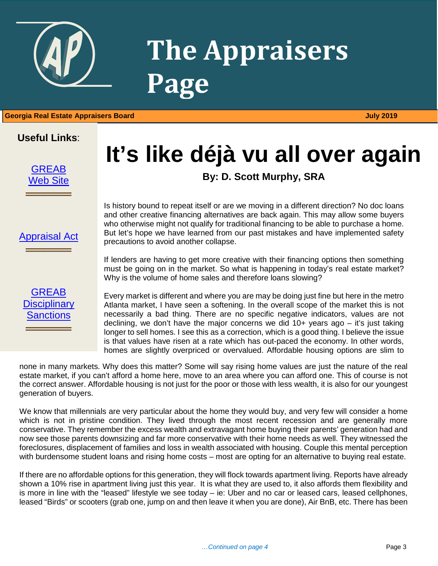

## **The Appraisers Page**

1 **Georgia Real Estate Appraisers Board July 2019**

#### **Useful Links**:



[Appraisal Act](http://www.grec.state.ga.us/about/appraisersact.html)

═══════════════

[GREAB](http://www.grec.state.ga.us/about/apprsanctions.html)  **Disciplinary** [Sanctions](http://www.grec.state.ga.us/about/apprsanctions.html)

═══════════════

## **It's like déjà vu all over again**

**By: D. Scott Murphy, SRA**

Is history bound to repeat itself or are we moving in a different direction? No doc loans and other creative financing alternatives are back again. This may allow some buyers who otherwise might not qualify for traditional financing to be able to purchase a home. But let's hope we have learned from our past mistakes and have implemented safety precautions to avoid another collapse.

If lenders are having to get more creative with their financing options then something must be going on in the market. So what is happening in today's real estate market? Why is the volume of home sales and therefore loans slowing?

Every market is different and where you are may be doing just fine but here in the metro Atlanta market, I have seen a softening. In the overall scope of the market this is not necessarily a bad thing. There are no specific negative indicators, values are not declining, we don't have the major concerns we did  $10+$  years ago – it's just taking longer to sell homes. I see this as a correction, which is a good thing. I believe the issue is that values have risen at a rate which has out-paced the economy. In other words, homes are slightly overpriced or overvalued. Affordable housing options are slim to

none in many markets. Why does this matter? Some will say rising home values are just the nature of the real estate market, if you can't afford a home here, move to an area where you can afford one. This of course is not the correct answer. Affordable housing is not just for the poor or those with less wealth, it is also for our youngest generation of buyers.

We know that millennials are very particular about the home they would buy, and very few will consider a home which is not in pristine condition. They lived through the most recent recession and are generally more conservative. They remember the excess wealth and extravagant home buying their parents' generation had and now see those parents downsizing and far more conservative with their home needs as well. They witnessed the foreclosures, displacement of families and loss in wealth associated with housing. Couple this mental perception with burdensome student loans and rising home costs – most are opting for an alternative to buying real estate.

If there are no affordable options for this generation, they will flock towards apartment living. Reports have already shown a 10% rise in apartment living just this year. It is what they are used to, it also affords them flexibility and is more in line with the "leased" lifestyle we see today – ie: Uber and no car or leased cars, leased cellphones, leased "Birds" or scooters (grab one, jump on and then leave it when you are done), Air BnB, etc. There has been